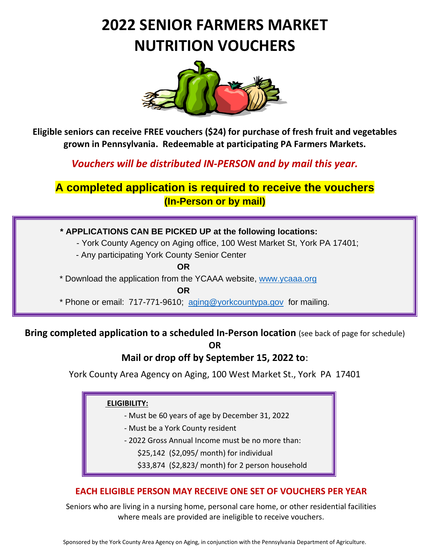# **2022 SENIOR FARMERS MARKET NUTRITION VOUCHERS**



**Eligible seniors can receive FREE vouchers (\$24) for purchase of fresh fruit and vegetables grown in Pennsylvania. Redeemable at participating PA Farmers Markets.**

*Vouchers will be distributed IN-PERSON and by mail this year.*

# **A completed application is required to receive the vouchers (In-Person or by mail)**

 **\* APPLICATIONS CAN BE PICKED UP at the following locations:**

- York County Agency on Aging office, 100 West Market St, York PA 17401;

- Any participating York County Senior Center

**OR**

\* Download the application from the YCAAA website, [www.ycaaa.org](http://www.ycaaa.org/) 

**OR OR OR** 

\* Phone or email: 717-771-9610; [aging@yorkcountypa.gov](mailto:aging@yorkcountypa.gov) for mailing.

#### **Bring completed application to a scheduled In-Person location** (see back of page for schedule) **OR**

## **Mail or drop off by September 15, 2022 to**:

York County Area Agency on Aging, 100 West Market St., York PA 17401

#### **ELIGIBILITY:**

- Must be 60 years of age by December 31, 2022
- Must be a York County resident
- 2022 Gross Annual Income must be no more than:
	- \$25,142 (\$2,095/ month) for individual
	- \$33,874 (\$2,823/ month) for 2 person household

#### **EACH ELIGIBLE PERSON MAY RECEIVE ONE SET OF VOUCHERS PER YEAR**

Seniors who are living in a nursing home, personal care home, or other residential facilities where meals are provided are ineligible to receive vouchers.